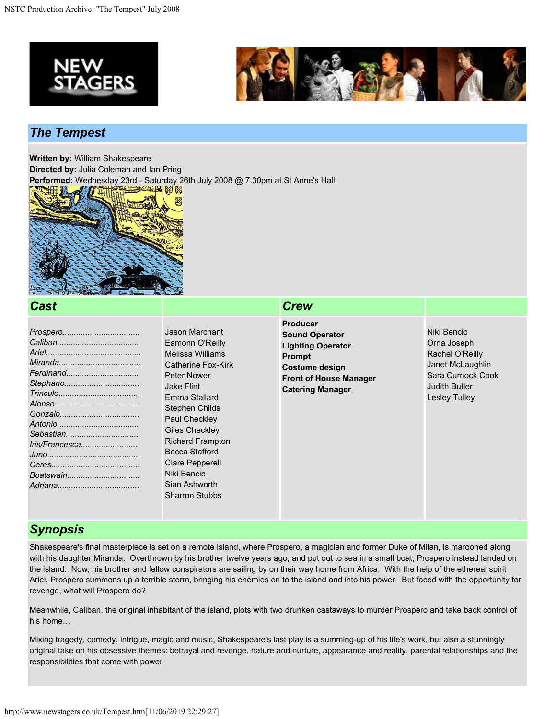



### *The Tempest*

**Written by:** William Shakespeare

**Directed by:** Julia Coleman and Ian Pring

**Performed:** Wednesday 23rd - Saturday 26th July 2008 @ 7.30pm at St Anne's Hall



#### *Cast Crew*

| Stephano       |
|----------------|
|                |
|                |
|                |
|                |
|                |
| Iris/Francesca |
|                |
|                |
|                |
|                |
|                |

Jason Marchant Eamonn O'Reilly Melissa Williams Catherine Fox-Kirk Peter Nower Jake Flint Emma Stallard Stephen Childs Paul Checkley Giles Checkley Richard Frampton Becca Stafford Clare Pepperell Niki Bencic Sian Ashworth Sharron Stubbs

- **Producer Sound Operator Lighting Operator Prompt Costume design Front of House Manager Catering Manager**
- Niki Bencic Orna Joseph Rachel O'Reilly Janet McLaughlin Sara Curnock Cook Judith Butler Lesley Tulley

## *Synopsis*

Shakespeare's final masterpiece is set on a remote island, where Prospero, a magician and former Duke of Milan, is marooned along with his daughter Miranda. Overthrown by his brother twelve years ago, and put out to sea in a small boat, Prospero instead landed on the island. Now, his brother and fellow conspirators are sailing by on their way home from Africa. With the help of the ethereal spirit Ariel, Prospero summons up a terrible storm, bringing his enemies on to the island and into his power. But faced with the opportunity for revenge, what will Prospero do?

Meanwhile, Caliban, the original inhabitant of the island, plots with two drunken castaways to murder Prospero and take back control of his home…

Mixing tragedy, comedy, intrigue, magic and music, Shakespeare's last play is a summing-up of his life's work, but also a stunningly original take on his obsessive themes: betrayal and revenge, nature and nurture, appearance and reality, parental relationships and the responsibilities that come with power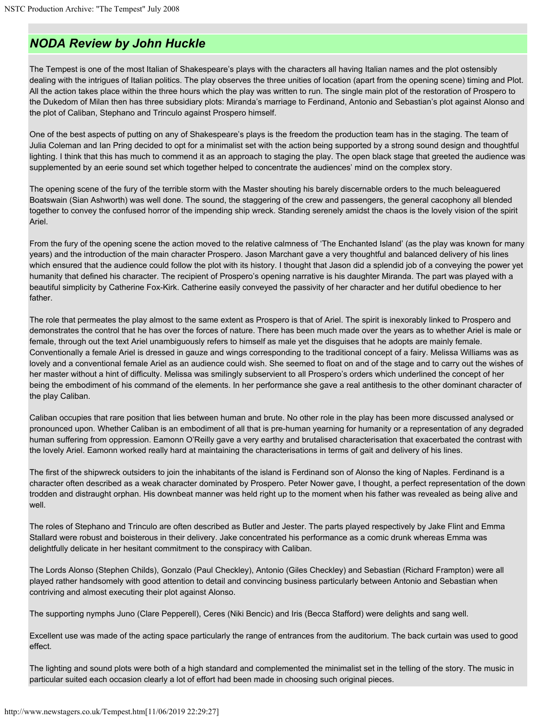# *NODA Review by John Huckle*

The Tempest is one of the most Italian of Shakespeare's plays with the characters all having Italian names and the plot ostensibly dealing with the intrigues of Italian politics. The play observes the three unities of location (apart from the opening scene) timing and Plot. All the action takes place within the three hours which the play was written to run. The single main plot of the restoration of Prospero to the Dukedom of Milan then has three subsidiary plots: Miranda's marriage to Ferdinand, Antonio and Sebastian's plot against Alonso and the plot of Caliban, Stephano and Trinculo against Prospero himself.

One of the best aspects of putting on any of Shakespeare's plays is the freedom the production team has in the staging. The team of Julia Coleman and Ian Pring decided to opt for a minimalist set with the action being supported by a strong sound design and thoughtful lighting. I think that this has much to commend it as an approach to staging the play. The open black stage that greeted the audience was supplemented by an eerie sound set which together helped to concentrate the audiences' mind on the complex story.

The opening scene of the fury of the terrible storm with the Master shouting his barely discernable orders to the much beleaguered Boatswain (Sian Ashworth) was well done. The sound, the staggering of the crew and passengers, the general cacophony all blended together to convey the confused horror of the impending ship wreck. Standing serenely amidst the chaos is the lovely vision of the spirit Ariel.

From the fury of the opening scene the action moved to the relative calmness of 'The Enchanted Island' (as the play was known for many years) and the introduction of the main character Prospero. Jason Marchant gave a very thoughtful and balanced delivery of his lines which ensured that the audience could follow the plot with its history. I thought that Jason did a splendid job of a conveying the power yet humanity that defined his character. The recipient of Prospero's opening narrative is his daughter Miranda. The part was played with a beautiful simplicity by Catherine Fox-Kirk. Catherine easily conveyed the passivity of her character and her dutiful obedience to her father.

The role that permeates the play almost to the same extent as Prospero is that of Ariel. The spirit is inexorably linked to Prospero and demonstrates the control that he has over the forces of nature. There has been much made over the years as to whether Ariel is male or female, through out the text Ariel unambiguously refers to himself as male yet the disguises that he adopts are mainly female. Conventionally a female Ariel is dressed in gauze and wings corresponding to the traditional concept of a fairy. Melissa Williams was as lovely and a conventional female Ariel as an audience could wish. She seemed to float on and of the stage and to carry out the wishes of her master without a hint of difficulty. Melissa was smilingly subservient to all Prospero's orders which underlined the concept of her being the embodiment of his command of the elements. In her performance she gave a real antithesis to the other dominant character of the play Caliban.

Caliban occupies that rare position that lies between human and brute. No other role in the play has been more discussed analysed or pronounced upon. Whether Caliban is an embodiment of all that is pre-human yearning for humanity or a representation of any degraded human suffering from oppression. Eamonn O'Reilly gave a very earthy and brutalised characterisation that exacerbated the contrast with the lovely Ariel. Eamonn worked really hard at maintaining the characterisations in terms of gait and delivery of his lines.

The first of the shipwreck outsiders to join the inhabitants of the island is Ferdinand son of Alonso the king of Naples. Ferdinand is a character often described as a weak character dominated by Prospero. Peter Nower gave, I thought, a perfect representation of the down trodden and distraught orphan. His downbeat manner was held right up to the moment when his father was revealed as being alive and well.

The roles of Stephano and Trinculo are often described as Butler and Jester. The parts played respectively by Jake Flint and Emma Stallard were robust and boisterous in their delivery. Jake concentrated his performance as a comic drunk whereas Emma was delightfully delicate in her hesitant commitment to the conspiracy with Caliban.

The Lords Alonso (Stephen Childs), Gonzalo (Paul Checkley), Antonio (Giles Checkley) and Sebastian (Richard Frampton) were all played rather handsomely with good attention to detail and convincing business particularly between Antonio and Sebastian when contriving and almost executing their plot against Alonso.

The supporting nymphs Juno (Clare Pepperell), Ceres (Niki Bencic) and Iris (Becca Stafford) were delights and sang well.

Excellent use was made of the acting space particularly the range of entrances from the auditorium. The back curtain was used to good effect.

The lighting and sound plots were both of a high standard and complemented the minimalist set in the telling of the story. The music in particular suited each occasion clearly a lot of effort had been made in choosing such original pieces.